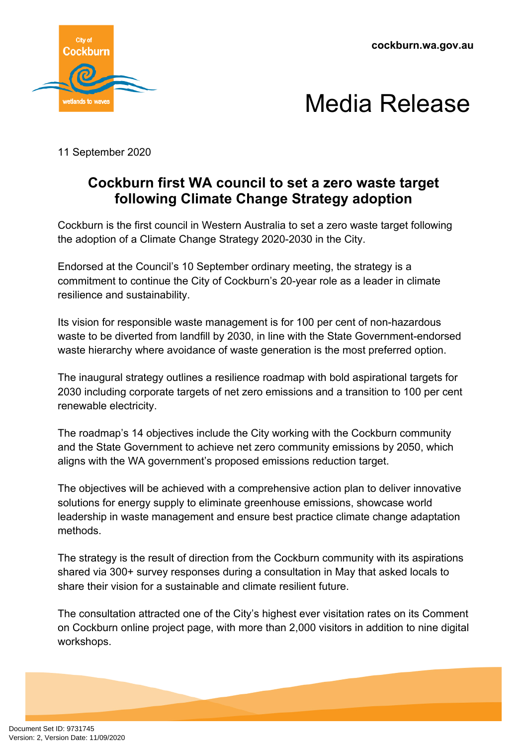



11 September 2020

## **Cockburn first WA council to set a zero waste target following Climate Change Strategy adoption**

Cockburn is the first council in Western Australia to set a zero waste target following the adoption of a Climate Change Strategy 2020-2030 in the City.

Endorsed at the Council's 10 September ordinary meeting, the strategy is a commitment to continue the City of Cockburn's 20-year role as a leader in climate resilience and sustainability.

Its vision for responsible waste management is for 100 per cent of non-hazardous waste to be diverted from landfill by 2030, in line with the State Government-endorsed waste hierarchy where avoidance of waste generation is the most preferred option.

The inaugural strategy outlines a resilience roadmap with bold aspirational targets for 2030 including corporate targets of net zero emissions and a transition to 100 per cent renewable electricity.

The roadmap's 14 objectives include the City working with the Cockburn community and the State Government to achieve net zero community emissions by 2050, which aligns with the WA government's proposed emissions reduction target.

The objectives will be achieved with a comprehensive action plan to deliver innovative solutions for energy supply to eliminate greenhouse emissions, showcase world leadership in waste management and ensure best practice climate change adaptation methods.

The strategy is the result of direction from the Cockburn community with its aspirations shared via 300+ survey responses during a consultation in May that asked locals to share their vision for a sustainable and climate resilient future.

The consultation attracted one of the City's highest ever visitation rates on its Comment on Cockburn online project page, with more than 2,000 visitors in addition to nine digital workshops.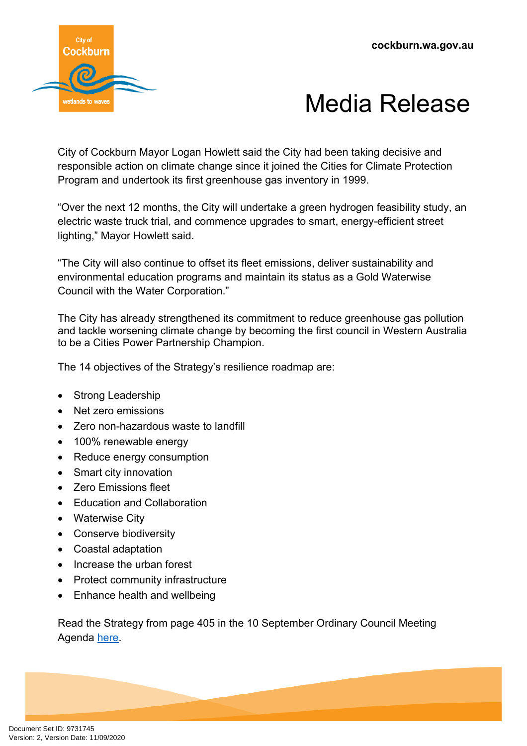



City of Cockburn Mayor Logan Howlett said the City had been taking decisive and responsible action on climate change since it joined the Cities for Climate Protection Program and undertook its first greenhouse gas inventory in 1999.

"Over the next 12 months, the City will undertake a green hydrogen feasibility study, an electric waste truck trial, and commence upgrades to smart, energy-efficient street lighting," Mayor Howlett said.

"The City will also continue to offset its fleet emissions, deliver sustainability and environmental education programs and maintain its status as a Gold Waterwise Council with the Water Corporation."

The City has already strengthened its commitment to reduce greenhouse gas pollution and tackle worsening climate change by becoming the first council in Western Australia to be a Cities Power Partnership Champion.

The 14 objectives of the Strategy's resilience roadmap are:

- Strong Leadership
- Net zero emissions
- Zero non-hazardous waste to landfill
- 100% renewable energy
- Reduce energy consumption
- Smart city innovation
- Zero Emissions fleet
- Education and Collaboration
- Waterwise City
- Conserve biodiversity
- Coastal adaptation
- Increase the urban forest
- Protect community infrastructure
- Enhance health and wellbeing

Read the Strategy from page 405 in the 10 September Ordinary Council Meeting Agenda [here.](https://www.cockburn.wa.gov.au/getattachment/9fe6f315-4194-44e9-af63-4aa652ad0ac9/ECM_9702913_v1_Ordinary-Council-Meeting-Agenda-10-September-2020-pdf.aspx)